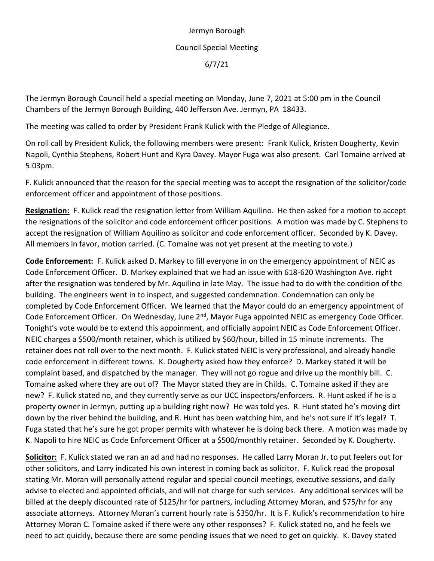## Jermyn Borough Council Special Meeting 6/7/21

The Jermyn Borough Council held a special meeting on Monday, June 7, 2021 at 5:00 pm in the Council Chambers of the Jermyn Borough Building, 440 Jefferson Ave. Jermyn, PA 18433.

The meeting was called to order by President Frank Kulick with the Pledge of Allegiance.

On roll call by President Kulick, the following members were present: Frank Kulick, Kristen Dougherty, Kevin Napoli, Cynthia Stephens, Robert Hunt and Kyra Davey. Mayor Fuga was also present. Carl Tomaine arrived at 5:03pm.

F. Kulick announced that the reason for the special meeting was to accept the resignation of the solicitor/code enforcement officer and appointment of those positions.

**Resignation:** F. Kulick read the resignation letter from William Aquilino. He then asked for a motion to accept the resignations of the solicitor and code enforcement officer positions. A motion was made by C. Stephens to accept the resignation of William Aquilino as solicitor and code enforcement officer. Seconded by K. Davey. All members in favor, motion carried. (C. Tomaine was not yet present at the meeting to vote.)

**Code Enforcement:** F. Kulick asked D. Markey to fill everyone in on the emergency appointment of NEIC as Code Enforcement Officer. D. Markey explained that we had an issue with 618-620 Washington Ave. right after the resignation was tendered by Mr. Aquilino in late May. The issue had to do with the condition of the building. The engineers went in to inspect, and suggested condemnation. Condemnation can only be completed by Code Enforcement Officer. We learned that the Mayor could do an emergency appointment of Code Enforcement Officer. On Wednesday, June 2<sup>nd</sup>, Mayor Fuga appointed NEIC as emergency Code Officer. Tonight's vote would be to extend this appoinment, and officially appoint NEIC as Code Enforcement Officer. NEIC charges a \$500/month retainer, which is utilized by \$60/hour, billed in 15 minute increments. The retainer does not roll over to the next month. F. Kulick stated NEIC is very professional, and already handle code enforcement in different towns. K. Dougherty asked how they enforce? D. Markey stated it will be complaint based, and dispatched by the manager. They will not go rogue and drive up the monthly bill. C. Tomaine asked where they are out of? The Mayor stated they are in Childs. C. Tomaine asked if they are new? F. Kulick stated no, and they currently serve as our UCC inspectors/enforcers. R. Hunt asked if he is a property owner in Jermyn, putting up a building right now? He was told yes. R. Hunt stated he's moving dirt down by the river behind the building, and R. Hunt has been watching him, and he's not sure if it's legal? T. Fuga stated that he's sure he got proper permits with whatever he is doing back there. A motion was made by K. Napoli to hire NEIC as Code Enforcement Officer at a \$500/monthly retainer. Seconded by K. Dougherty.

**Solicitor:** F. Kulick stated we ran an ad and had no responses. He called Larry Moran Jr. to put feelers out for other solicitors, and Larry indicated his own interest in coming back as solicitor. F. Kulick read the proposal stating Mr. Moran will personally attend regular and special council meetings, executive sessions, and daily advise to elected and appointed officials, and will not charge for such services. Any additional services will be billed at the deeply discounted rate of \$125/hr for partners, including Attorney Moran, and \$75/hr for any associate attorneys. Attorney Moran's current hourly rate is \$350/hr. It is F. Kulick's recommendation to hire Attorney Moran C. Tomaine asked if there were any other responses? F. Kulick stated no, and he feels we need to act quickly, because there are some pending issues that we need to get on quickly. K. Davey stated